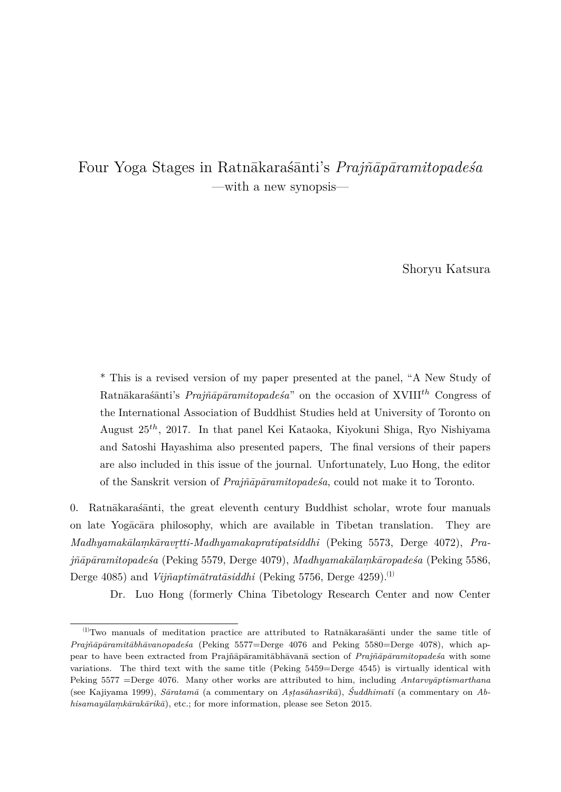# Four Yoga Stages in Ratnākarasanti's *Prajñāpāramitopadesa* —with a new synopsis—

Shoryu Katsura

\* This is a revised version of my paper presented at the panel, "A New Study of Ratnākaras´ānti's *Prajñāpāramitopadesa*" on the occasion of XVIII<sup>th</sup> Congress of the International Association of Buddhist Studies held at University of Toronto on August 25*th*, 2017. In that panel Kei Kataoka, Kiyokuni Shiga, Ryo Nishiyama and Satoshi Hayashima also presented papers.The final versions of their papers are also included in this issue of the journal. Unfortunately, Luo Hong, the editor of the Sanskrit version of *Praj˜n¯ap¯aramitopade´sa*, could not make it to Toronto.

0. Ratnākaras $\tilde{a}$ nti, the great eleventh century Buddhist scholar, wrote four manuals on late Yogacara philosophy, which are available in Tibetan translation. They are *Madhyamak¯alam. k¯aravr tti-Madhyamakapratipatsiddhi* (Peking 5573, Derge 4072), *Pra-˚ j˜n¯ap¯aramitopade´sa* (Peking 5579, Derge 4079), *Madhyamak¯alam. k¯aropade´sa* (Peking 5586, Derge 4085) and *Vijñaptimātratāsiddhi* (Peking 5756, Derge 4259).<sup>(1)</sup>

Dr. Luo Hong (formerly China Tibetology Research Center and now Center

 $^{(1)}$ Two manuals of meditation practice are attributed to Ratn $\bar{a}$ karas $\bar{a}$ anti under the same title of *Praj˜n¯ap¯aramit¯abh¯avanopade´sa* (Peking 5577=Derge 4076 and Peking 5580=Derge 4078), which appear to have been extracted from Prajñāpāramitābhāvanā section of *Prajñāpāramitopadesa* with some variations. The third text with the same title (Peking 5459=Derge 4545) is virtually identical with Peking 5577 =Derge 4076. Many other works are attributed to him, including *Antarvyaptismarthana* (see Kajiyama 1999), *Sāratamā* (a commentary on *Asṭasāhasrikā*), Śuddhimatī (a commentary on *Abhisamayālamkārakārikā*), etc.; for more information, please see Seton 2015.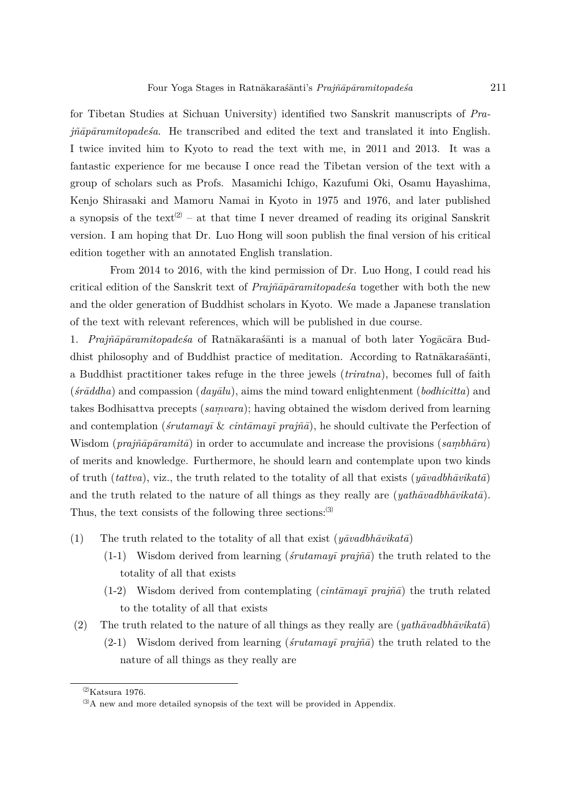for Tibetan Studies at Sichuan University) identified two Sanskrit manuscripts of *Prajñāpāramitopadeśa*. He transcribed and edited the text and translated it into English. I twice invited him to Kyoto to read the text with me, in 2011 and 2013. It was a fantastic experience for me because I once read the Tibetan version of the text with a group of scholars such as Profs. Masamichi Ichigo, Kazufumi Oki, Osamu Hayashima, Kenjo Shirasaki and Mamoru Namai in Kyoto in 1975 and 1976, and later published a synopsis of the text<sup>(2)</sup> – at that time I never dreamed of reading its original Sanskrit version. I am hoping that Dr. Luo Hong will soon publish the final version of his critical edition together with an annotated English translation.

From 2014 to 2016, with the kind permission of Dr. Luo Hong, I could read his critical edition of the Sanskrit text of *Prajñāpāramitopades*<sup>*a*</sup> together with both the new and the older generation of Buddhist scholars in Kyoto. We made a Japanese translation of the text with relevant references, which will be published in due course.

1. *Prajñāpāramitopades*a of Ratnākarasanti is a manual of both later Yogācāra Buddhist philosophy and of Buddhist practice of meditation. According to Ratnākaras´anti, a Buddhist practitioner takes refuge in the three jewels (*triratna*), becomes full of faith (*´sr¯addha*) and compassion (*day¯alu*), aims the mind toward enlightenment (*bodhicitta*) and takes Bodhisattva precepts (*samvara*); having obtained the wisdom derived from learning and contemplation (*śrutamayī*  $\&$  *cintāmayī* prajñā), he should cultivate the Perfection of Wisdom ( $praj\tilde{n}\bar{a}p\bar{a}ramit\bar{a}$ ) in order to accumulate and increase the provisions ( $samb\bar{a}ra$ ) of merits and knowledge. Furthermore, he should learn and contemplate upon two kinds of truth (*tattva*), viz., the truth related to the totality of all that exists ( $y\bar{a}v\bar{a}b\bar{h}\bar{a}v\bar{k}a\bar{a}$ ) and the truth related to the nature of all things as they really are  $(\textit{patha}~\textit{vak}~\textit{a}~\textit{tā}).$ Thus, the text consists of the following three sections:(3)

- (1) The truth related to the totality of all that exist  $(\eta \bar{\alpha} \nu \alpha d b h \bar{\alpha} \nu \dot{\kappa} a t \bar{a})$ 
	- $(1-1)$  Wisdom derived from learning (*'srutamayī prajñā*) the truth related to the totality of all that exists
	- $(1-2)$  Wisdom derived from contemplating  $(cintāmay\bar{i} prajn\bar{a})$  the truth related to the totality of all that exists
- (2) The truth related to the nature of all things as they really are  $(\textit{yathāvadbhāvikatā})$  $(2-1)$  Wisdom derived from learning (*śrutamayī prajñā*) the truth related to the nature of all things as they really are

 $^{(2)}$ Katsura 1976.

 $^{(3)}\mathrm{A}$  new and more detailed synopsis of the text will be provided in Appendix.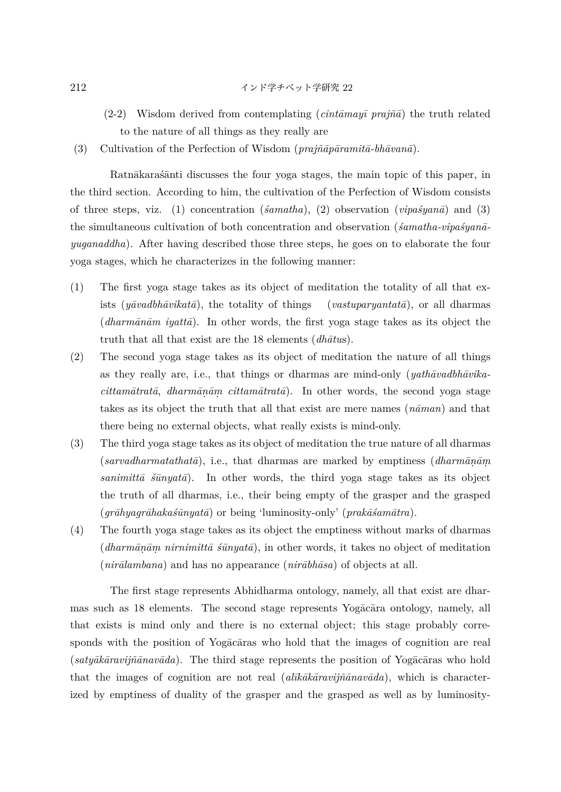$$
212
$$

- $(2-2)$  Wisdom derived from contemplating  $(cint\overline{a}may\overline{i} pra\overline{j}\overline{a})$  the truth related to the nature of all things as they really are
- (3) Cultivation of the Perfection of Wisdom ( $\text{pr}a\tilde{\text{v}}a\bar{\text{v}}a\bar{\text{v}}a\bar{\text{v}}a\bar{\text{v}}a\bar{\text{v}}a\bar{\text{v}}a\bar{\text{v}}a$ ).

Ratnākaras´ānti discusses the four yoga stages, the main topic of this paper, in the third section. According to him, the cultivation of the Perfection of Wisdom consists of three steps, viz. (1) concentration  $(\text{\'i}amatha)$ , (2) observation  $(\text{\'i}pas'yan\bar{a})$  and (3) the simultaneous cultivation of both concentration and observation (*samatha-vipas<sup>i</sup>yan*a*yuganaddha*). After having described those three steps, he goes on to elaborate the four yoga stages, which he characterizes in the following manner:

- (1) The first yoga stage takes as its object of meditation the totality of all that exists (*y* $\bar{a}$ *vastuparyantat* $\bar{a}$ *)*, or all dharmas (*dharm¯an¯am iyatt¯a*). In other words, the first yoga stage takes as its object the truth that all that exist are the 18 elements *(dhātus)*.
- (2) The second yoga stage takes as its object of meditation the nature of all things as they really are, i.e., that things or dharmas are mind-only (*yathavadbhavika* $cittamātrata$ , *dharmānām cittamātratā*). In other words, the second yoga stage takes as its object the truth that all that exist are mere names  $(n\bar{a}man)$  and that there being no external objects, what really exists is mind-only.
- (3) The third yoga stage takes as its object of meditation the true nature of all dharmas  $(sarvadharmatathata),$  i.e., that dharmas are marked by emptiness  $(dharm\bar{a}n\bar{a}m)$  $sanimitt\bar{a}$   $\bar{s}u\bar{u}y\bar{a}$ . In other words, the third yoga stage takes as its object the truth of all dharmas, i.e., their being empty of the grasper and the grasped (*gr¯ahyagr¯ahaka´s¯unyat¯a*) or being 'luminosity-only' (*prak¯a´sam¯atra*).
- (4) The fourth yoga stage takes as its object the emptiness without marks of dharmas  $(dharm\bar{a}n\bar{a}m\text{ }nirnimit\bar{a}\text{ }s\bar{u}nyat\bar{a}),$  in other words, it takes no object of meditation  $(nirālambana)$  and has no appearance  $(nirābhāsa)$  of objects at all.

The first stage represents Abhidharma ontology, namely, all that exist are dharmas such as 18 elements. The second stage represents Yogacara ontology, namely, all that exists is mind only and there is no external object; this stage probably corresponds with the position of Yogacaras who hold that the images of cognition are real (*satyākāravijñānavāda*). The third stage represents the position of Yogācāras who hold that the images of cognition are not real *(alīkākāravijñānavāda)*, which is characterized by emptiness of duality of the grasper and the grasped as well as by luminosity-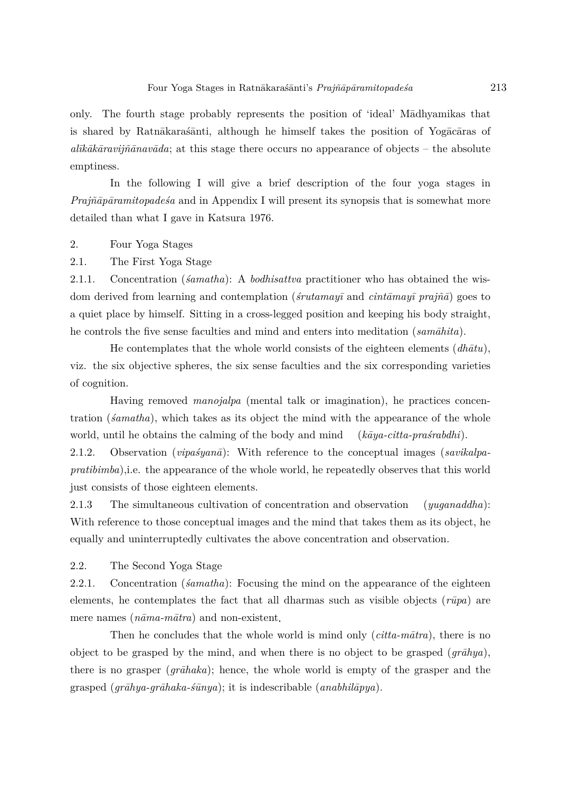only. The fourth stage probably represents the position of 'ideal' M¯adhyamikas that is shared by Ratnākaras´ānti, although he himself takes the position of Yogācāras of  $a\bar{u}\bar{k}\bar{a}k\bar{a}r$ *avijñ* $\bar{a}n$ *av* $\bar{a}d$ *a*; at this stage there occurs no appearance of objects – the absolute emptiness.

In the following I will give a brief description of the four yoga stages in *Prajñāpāramitopadesa* and in Appendix I will present its synopsis that is somewhat more detailed than what I gave in Katsura 1976.

### 2. Four Yoga Stages

2.1. The First Yoga Stage

2.1.1. Concentration (*´samatha*): A *bodhisattva* practitioner who has obtained the wisdom derived from learning and contemplation (*s<sup>i</sup>rutamayī* and *cintāmayī prajñā*) goes to a quiet place by himself. Sitting in a cross-legged position and keeping his body straight, he controls the five sense faculties and mind and enters into meditation ( $sam\bar{a}hita$ ).

He contemplates that the whole world consists of the eighteen elements  $(dh\bar{a}tu)$ , viz. the six objective spheres, the six sense faculties and the six corresponding varieties of cognition.

Having removed *manojalpa* (mental talk or imagination), he practices concentration (*´samatha*), which takes as its object the mind with the appearance of the whole world, until he obtains the calming of the body and mind  $(k\bar{a}ya-citta-praśrabdhi).$ 

2.1.2. Observation (*vipa'syana*): With reference to the conceptual images (*savikalpapratibimba*)*,*i.e. the appearance of the whole world, he repeatedly observes that this world just consists of those eighteen elements.

2.1.3 The simultaneous cultivation of concentration and observation (*yuganaddha*): With reference to those conceptual images and the mind that takes them as its object, he equally and uninterruptedly cultivates the above concentration and observation.

2.2. The Second Yoga Stage

2.2.1. Concentration (*´samatha*): Focusing the mind on the appearance of the eighteen elements, he contemplates the fact that all dharmas such as visible objects  $(r\bar{u}pa)$  are mere names ( $n\bar{a}ma-m\bar{a}tra$ ) and non-existent.

Then he concludes that the whole world is mind only (*citta-matra*), there is no object to be grasped by the mind, and when there is no object to be grasped  $(gr\bar{a}hya)$ , there is no grasper  $(q\bar{a}haka)$ ; hence, the whole world is empty of the grasper and the grasped  $(qr\bar{a}hya-qr\bar{a}haka-\bar{s}\bar{u}nya)$ ; it is indescribable  $(anabhil\bar{a}pya)$ .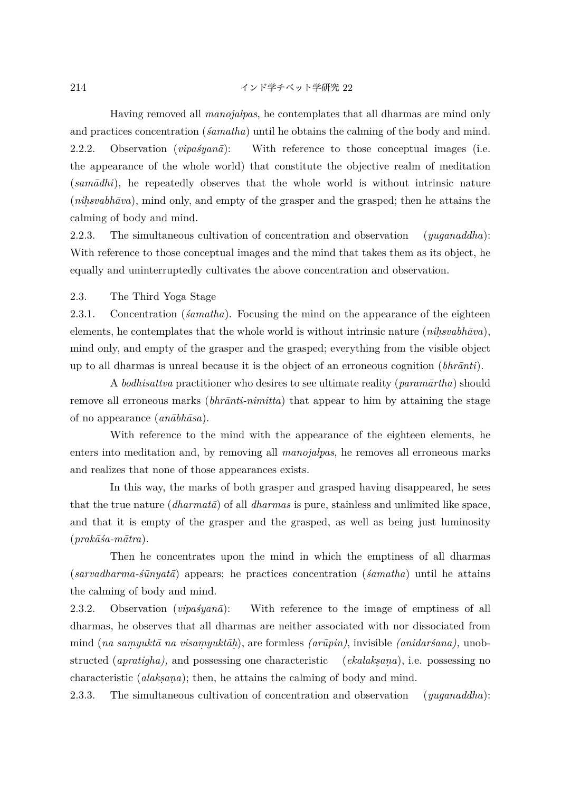$$
214
$$

Having removed all *manojalpas*, he contemplates that all dharmas are mind only and practices concentration (*´samatha*) until he obtains the calming of the body and mind. 2.2.2. Observation *(vipa'syana*): With reference to those conceptual images (i.e. the appearance of the whole world) that constitute the objective realm of meditation (*samādhi*), he repeatedly observes that the whole world is without intrinsic nature (*nihsvabhāva*), mind only, and empty of the grasper and the grasped; then he attains the calming of body and mind*.*

2.2.3. The simultaneous cultivation of concentration and observation (*yuganaddha*): With reference to those conceptual images and the mind that takes them as its object, he equally and uninterruptedly cultivates the above concentration and observation.

### 2.3. The Third Yoga Stage

2.3.1. Concentration (*´samatha*). Focusing the mind on the appearance of the eighteen elements, he contemplates that the whole world is without intrinsic nature (*nihsvabhāva*), mind only, and empty of the grasper and the grasped; everything from the visible object up to all dharmas is unreal because it is the object of an erroneous cognition  $(hhr\bar{a}nti)$ .

A *bodhisattva* practitioner who desires to see ultimate reality (*param¯artha*) should remove all erroneous marks (*bhrānti-nimitta*) that appear to him by attaining the stage of no appearance  $(an\bar{a}b\bar{h}\bar{a}sa)$ .

With reference to the mind with the appearance of the eighteen elements, he enters into meditation and, by removing all *manojalpas*, he removes all erroneous marks and realizes that none of those appearances exists.

In this way, the marks of both grasper and grasped having disappeared, he sees that the true nature (*dharmatā*) of all *dharmas* is pure, stainless and unlimited like space, and that it is empty of the grasper and the grasped, as well as being just luminosity  $(\textit{prakāsa-mātra}).$ 

Then he concentrates upon the mind in which the emptiness of all dharmas (*sarvadharma-´s¯unyat¯a*) appears; he practices concentration (*´samatha*) until he attains the calming of body and mind*.*

2.3.2. Observation  $(vipas' yana)$ : With reference to the image of emptiness of all dharmas, he observes that all dharmas are neither associated with nor dissociated from mind (*na samyuktā na visamyuktāh*), are formless *(arūpin)*, invisible *(anidaršana)*, unobstructed (*apratigha*), and possessing one characteristic (*ekalaksana*), i.e. possessing no characteristic *(alaksana)*; then, he attains the calming of body and mind.

2.3.3. The simultaneous cultivation of concentration and observation (*yuganaddha*):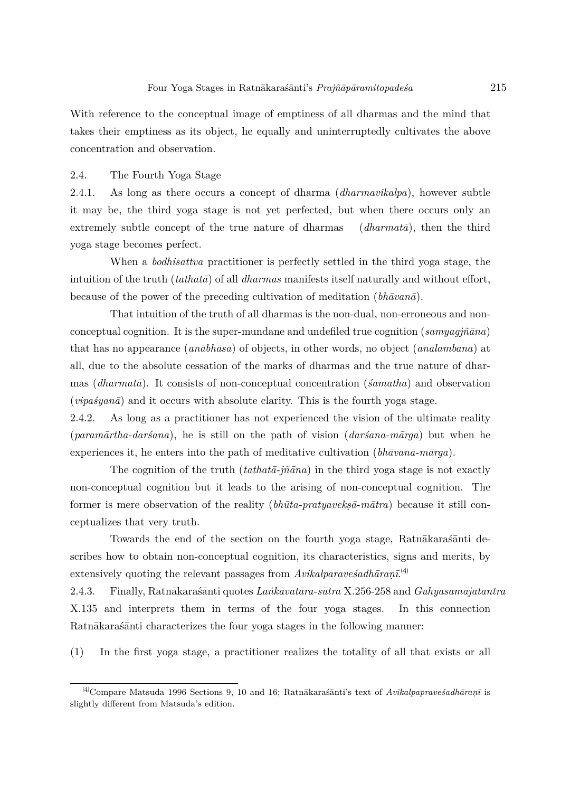With reference to the conceptual image of emptiness of all dharmas and the mind that takes their emptiness as its object, he equally and uninterruptedly cultivates the above concentration and observation.

### 2.4. The Fourth Yoga Stage

2.4.1. As long as there occurs a concept of dharma (*dharmavikalpa*), however subtle it may be, the third yoga stage is not yet perfected, but when there occurs only an extremely subtle concept of the true nature of dharmas (*dharmata*), then the third yoga stage becomes perfect.

When a *bodhisattva* practitioner is perfectly settled in the third yoga stage, the intuition of the truth  $(tathat\bar{a})$  of all *dharmas* manifests itself naturally and without effort, because of the power of the preceding cultivation of meditation  $(hh\bar{a}van\bar{a})$ .

That intuition of the truth of all dharmas is the non-dual, non-erroneous and nonconceptual cognition. It is the super-mundane and undefiled true cognition  $(samyaq\tilde{m}\bar{a}na)$ that has no appearance (*an¯abh¯asa*) of objects, in other words, no object (*an¯alambana*) at all, due to the absolute cessation of the marks of dharmas and the true nature of dharmas (*dharmatā*). It consists of non-conceptual concentration (*śamatha*) and observation  $(vipasyan\bar{a})$  and it occurs with absolute clarity. This is the fourth yoga stage.

2.4.2. As long as a practitioner has not experienced the vision of the ultimate reality (*param¯artha-dar´sana*), he is still on the path of vision (*dar´sana-m¯arga*) but when he experiences it, he enters into the path of meditative cultivation (*bhāvanā-mārga*).

The cognition of the truth  $(tathat\bar{\theta}\text{-}j\tilde{n}\bar{a}na)$  in the third yoga stage is not exactly non-conceptual cognition but it leads to the arising of non-conceptual cognition. The former is mere observation of the reality (*bhūta-pratyaveksā-mātra*) because it still conceptualizes that very truth.

Towards the end of the section on the fourth yoga stage, Ratnākarasanti describes how to obtain non-conceptual cognition, its characteristics, signs and merits, by extensively quoting the relevant passages from  $Avikalparave\acute{s}adh\bar{a}ran\bar{i}^{(4)}$ 

2.4.3. Finally, Ratn¯akara´s¯anti quotes *La ˙nk¯avat¯ara-s¯utra* X.256-258 and *Guhyasam¯ajatantra* X.135 and interprets them in terms of the four yoga stages. In this connection Ratnākarasanti characterizes the four yoga stages in the following manner:

(1) In the first yoga stage, a practitioner realizes the totality of all that exists or all

<sup>&</sup>lt;sup>(4)</sup>Compare Matsuda 1996 Sections 9, 10 and 16; Ratnākarasānti's text of *Avikalpapravesadhāranī* is slightly different from Matsuda's edition.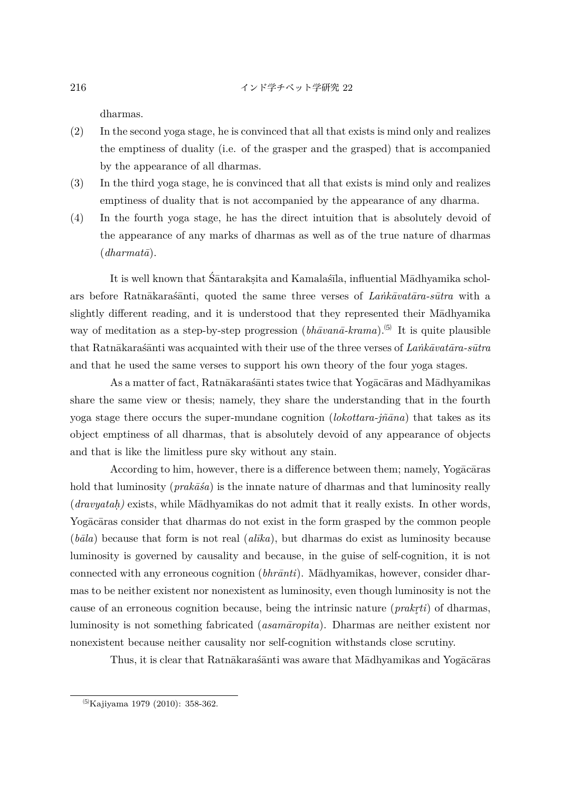dharmas.

- (2) In the second yoga stage, he is convinced that all that exists is mind only and realizes the emptiness of duality (i.e. of the grasper and the grasped) that is accompanied by the appearance of all dharmas.
- (3) In the third yoga stage, he is convinced that all that exists is mind only and realizes emptiness of duality that is not accompanied by the appearance of any dharma.
- (4) In the fourth yoga stage, he has the direct intuition that is absolutely devoid of the appearance of any marks of dharmas as well as of the true nature of dharmas  $(dharmat\bar{a})$ .

It is well known that Śāntarakṣita and Kamalaśīla, influential Mādhyamika scholars before Ratnākarasanti, quoted the same three verses of *Lankāvatāra-sūtra* with a slightly different reading, and it is understood that they represented their Madhyamika way of meditation as a step-by-step progression ( $bh\bar{a}van\bar{a}$ -krama).<sup>(5)</sup> It is quite plausible that Ratnākarasanti was acquainted with their use of the three verses of *Lankavatara-sūtra* and that he used the same verses to support his own theory of the four yoga stages.

As a matter of fact, Ratnākarasanti states twice that Yogacaras and Madhyamikas share the same view or thesis; namely, they share the understanding that in the fourth yoga stage there occurs the super-mundane cognition ( $\ell$ *lokottara-jñ* $\tilde{a}$ *na*) that takes as its object emptiness of all dharmas, that is absolutely devoid of any appearance of objects and that is like the limitless pure sky without any stain.

According to him, however, there is a difference between them; namely, Yogacaras hold that luminosity  $(prak\bar{a}\bar{s}a)$  is the innate nature of dharmas and that luminosity really  $(dravyatah)$  exists, while M $\bar{a}$ dhyamikas do not admit that it really exists. In other words, Yogacaras consider that dharmas do not exist in the form grasped by the common people  $(b\bar{a}la)$  because that form is not real  $(al\bar{u}k$ , but dharmas do exist as luminosity because luminosity is governed by causality and because, in the guise of self-cognition, it is not connected with any erroneous cognition (*bhrānti*). Mādhyamikas, however, consider dharmas to be neither existent nor nonexistent as luminosity, even though luminosity is not the cause of an erroneous cognition because, being the intrinsic nature (*prakr ti*) of dharmas, *˚* luminosity is not something fabricated (*asam¯aropita*). Dharmas are neither existent nor nonexistent because neither causality nor self-cognition withstands close scrutiny.

Thus, it is clear that Ratnākarasanti was aware that Mādhyamikas and Yogācāras

<sup>⑸</sup>Kajiyama 1979 (2010): 358-362.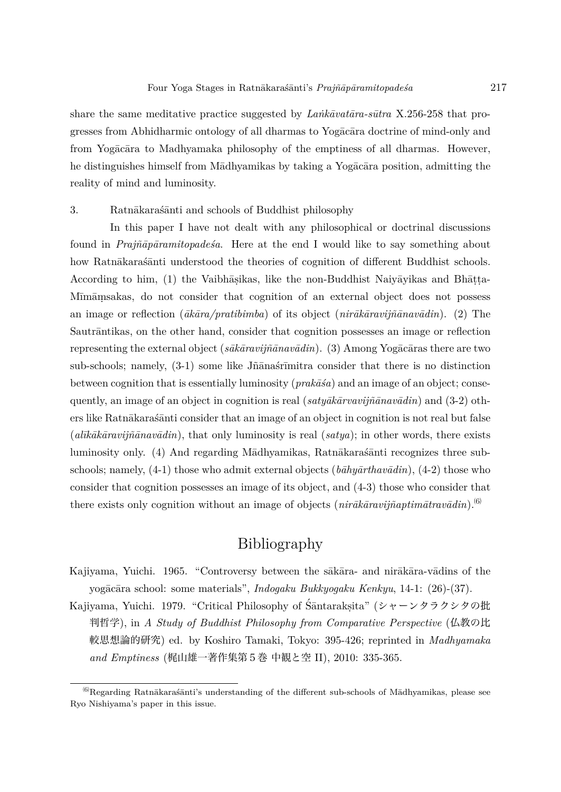share the same meditative practice suggested by *Lank* $\bar{a}$ *utara-sūtra* X.256-258 that progresses from Abhidharmic ontology of all dharmas to Yogacara doctrine of mind-only and from Yogacara to Madhyamaka philosophy of the emptiness of all dharmas. However, he distinguishes himself from Mādhyamikas by taking a Yogācāra position, admitting the reality of mind and luminosity.

3. Ratnākarasanti and schools of Buddhist philosophy

In this paper I have not dealt with any philosophical or doctrinal discussions found in *Prajñāpāramitopadesa*. Here at the end I would like to say something about how Ratnākaras´ānti understood the theories of cognition of different Buddhist schools. According to him, (1) the Vaibhāṣikas, like the non-Buddhist Naiyāyikas and Bhāṭṭa-Mīmāṃsakas, do not consider that cognition of an external object does not possess an image or reflection (*¯ak¯ara/pratibimba*) of its object (*nir¯ak¯aravij˜n¯anav¯adin*). (2) The Sautrāntikas, on the other hand, consider that cognition possesses an image or reflection representing the external object (*s¯ak¯aravij˜n¯anav¯adin*). (3) Among Yog¯ac¯aras there are two sub-schools; namely,  $(3-1)$  some like Jñanaśr $\overline{\text{t}}$ mitra consider that there is no distinction between cognition that is essentially luminosity (*prak¯a´sa*) and an image of an object; consequently, an image of an object in cognition is real ( $saty\bar{a}k\bar{a}rvavi\bar{j}\bar{n}\bar{a}nav\bar{a}din$ ) and (3-2) others like Ratnākaras´anti consider that an image of an object in cognition is not real but false (*alīkākāravijñānavādin*), that only luminosity is real (*satya*); in other words, there exists luminosity only. (4) And regarding Mādhyamikas, Ratnākaras´ānti recognizes three subschools; namely, (4-1) those who admit external objects ( $b\bar{a}hy\bar{a}rthav\bar{a}din$ ), (4-2) those who consider that cognition possesses an image of its object, and (4-3) those who consider that there exists only cognition without an image of objects ( $nirākāravijñaptimātravādin)$ .<sup>(6)</sup>

## Bibliography

- Kajiyama, Yuichi. 1965. "Controversy between the sākāra- and nirākāra-vādins of the yog¯ac¯ara school: some materials", *Indogaku Bukkyogaku Kenkyu*, 14-1: (26)-(37).
- Kajiyama, Yuichi. 1979. "Critical Philosophy of Śāntarakṣita" (シャーンタラクシタの批 判哲学), in *A Study of Buddhist Philosophy from Comparative Perspective* (仏教の比 較思想論的研究) ed. by Koshiro Tamaki, Tokyo: 395-426; reprinted in *Madhyamaka and Emptiness* (梶山雄一著作集第5巻 中観と空 II), 2010: 335-365.

 $^{(6)}$ Regarding Ratnākaras´ānti's understanding of the different sub-schools of M $\bar{a}$ dhyamikas, please see Ryo Nishiyama's paper in this issue.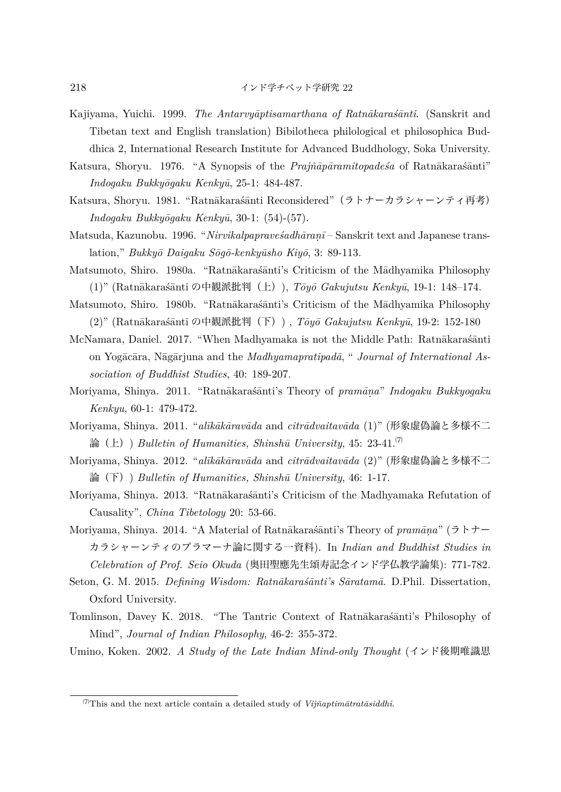- Kajiyama, Yuichi. 1999. *The Antarvyāptisamarthana of Ratnākaraśānti*. (Sanskrit and Tibetan text and English translation) Bibilotheca philological et philosophica Buddhica 2, International Research Institute for Advanced Buddhology, Soka University.
- Katsura, Shoryu. 1976. "A Synopsis of the *Prajñāpāramitopades* a of Ratnākarasanti" *Indogaku Bukky¯ogaku Kenky¯u*, 25-1: 484-487.
- Katsura, Shoryu. 1981. "Ratnākaraśānti Reconsidered" (ラトナーカラシャーンティ再考) *Indogaku Bukky¯ogaku Kenky¯u*, 30-1: (54)-(57).
- Matsuda, Kazunobu. 1996. "*Nirvikalpapravesadhāranī* Sanskrit text and Japanese translation," *Bukkyō Daigaku Sōgō-kenkyūsho Kiyō*, 3: 89-113.
- Matsumoto, Shiro. 1980a. "Ratnākarašānti's Criticism of the Mādhyamika Philosophy (1)" (Ratnākarasanti の中観派批判(上)), *Tōyō Gakujutsu Kenkyū*, 19-1: 148–174.
- Matsumoto, Shiro. 1980b. "Ratnākarasanti's Criticism of the Mādhyamika Philosophy (2)" (Ratnākaraśānti の中観派批判(下)) , *Tōyō Gakujutsu Kenkyū*, 19-2: 152-180
- McNamara, Daniel. 2017. "When Madhyamaka is not the Middle Path: Ratnākaraśānti on Yogācāra, Nāgārjuna and the *Madhyamapratipadā*, "*Journal of International Association of Buddhist Studies*, 40: 189-207.
- Moriyama, Shinya. 2011. "Ratn¯akara´s¯anti's Theory of *pram¯an. a*" *Indogaku Bukkyogaku Kenkyu*, 60-1: 479-472.
- Moriyama, Shinya. 2011. "alīkākāravāda and *citrādvaitavāda* (1)" (形象虚偽論と多様不二 論(上)) *Bulletin of Humanities, Shinshū University*, 45: 23-41.<sup> $(7)$ </sup>
- Moriyama, Shinya. 2012. "alīkākāravāda and *citrādvaitavāda* (2)" (形象虚偽論と多様不二 論(下)) *Bulletin of Humanities, Shinshū University*, 46: 1-17.
- Moriyama, Shinya. 2013. "Ratnākarasanti's Criticism of the Madhyamaka Refutation of Causality", *China Tibetology* 20: 53-66.
- Moriyama, Shinya. 2014. "A Material of Ratnākaraśānti's Theory of *pramāna*" (ラトナー カラシャーンティのプラマーナ論に関する一資料). In *Indian and Buddhist Studies in Celebration of Prof. Seio Okuda* (奥田聖應先生頌寿記念インド学仏教学論集): 771-782.
- Seton, G. M. 2015. *Defining Wisdom: Ratnākaraśānti's Sāratamā*. D.Phil. Dissertation, Oxford University.
- Tomlinson, Davey K. 2018. "The Tantric Context of Ratnākaras´anti's Philosophy of Mind", *Journal of Indian Philosophy*, 46-2: 355-372.
- Umino, Koken. 2002. *A Study of the Late Indian Mind-only Thought* (インド後期唯識思

 $\frac{7}{7}$ This and the next article contain a detailed study of *Vijñaptimātratāsiddhi*.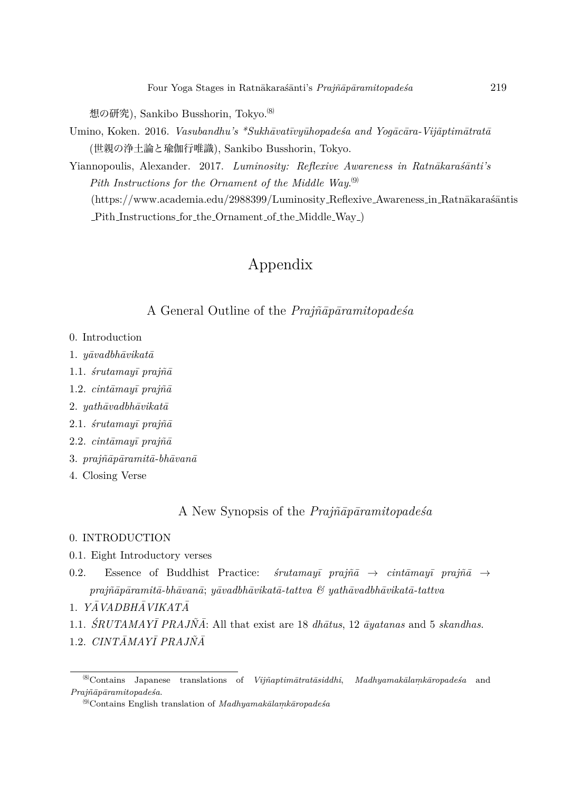想の研究), Sankibo Busshorin, Tokvo.<sup>(8)</sup>

Umino, Koken. 2016. *Vasubandhu's \*Sukhāvatīvyūhopadesa and Yogācāra-Vijāptimātratā* (世親の浄土論と瑜伽行唯識), Sankibo Busshorin, Tokyo.

Yiannopoulis, Alexander. 2017. *Luminosity: Reflexive Awareness in Ratnākaraśānti's Pith Instructions for the Ornament of the Middle Way*. ⑼ (https://www.academia.edu/2988399/Luminosity\_Reflexive\_Awareness\_in\_Ratnākaraśāntis Pith Instructions for the Ornament of the Middle Way )

## Appendix

### A General Outline of the *Prajñāpāramitopades<sup>a</sup>*

- 0. Introduction
- 1. *y¯avadbh¯avikat¯a*
- 1.1. *´srutamay¯ı praj˜n¯a*
- 1.2. *cint¯amay¯ı praj˜n¯a*
- 2. *yath¯avadbh¯avikat¯a*
- 2.1. *´srutamay¯ı praj˜n¯a*
- 2.2. *cint¯amay¯ı praj˜n¯a*
- 3. *prajñāpāramitā-bhāvanā*
- 4. Closing Verse

### A New Synopsis of the *Prajñāpāramitopadesa*

### 0. INTRODUCTION

- 0.1. Eight Introductory verses
- 0.2. Essence of Buddhist Practice: *śrutamayī prajñā*  $\rightarrow$  *cintāmayī prajñā*  $\rightarrow$ prajñāpāramitā-bhāvanā; yāvadbhāvikatā-tattva & yathāvadbhāvikatā-tattva
- 1. *YAVADBH ¯ AVIKAT ¯ A¯*
- 1.1. *SRUTAMAYĪ PRAJÑĀ*: All that exist are 18 *dhātus*, 12 *āyatanas* and 5 *skandhas*.
- 1.2. *CINTĀMAYĪ PRAJÑĀ*

<sup>⑻</sup>Contains Japanese translations of *Vij˜naptim¯atrat¯asiddhi*, *Madhyamak¯alam. k¯aropade´sa* and *Praj˜n¯ap¯aramitopade´sa*.

<sup>&</sup>lt;sup>(9)</sup>Contains English translation of *Madhyamakālamkāropadeśa*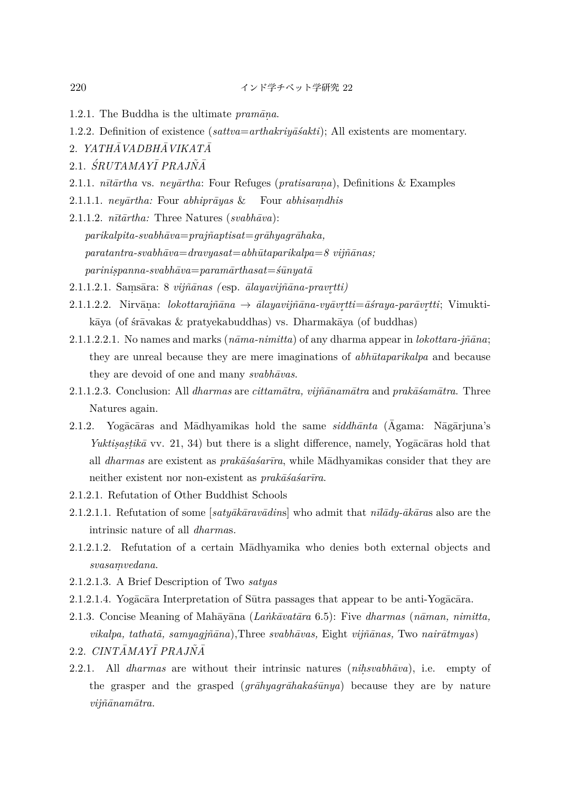- 1.2.1. The Buddha is the ultimate  $\text{pramāna.}$
- 1.2.2. Definition of existence (*sattva*=*arthakriy¯a´sakti*); All existents are momentary.
- 2. *YATHĀVADBHĀVIKATĀ*
- $2.1.$  *ŚRUTAMAYĪ PRAJÑĀ*
- 2.1.1. *n¯ıt¯artha* vs. *ney¯artha*: Four Refuges (*pratisaran. a*), Definitions & Examples
- 2.1.1.1. *neyārtha:* Four *abhiprāyas* & Four *abhisamdhis*
- $2.1.1.2.$   $n\bar{\imath}\bar{\imath}\bar{\imath}\bar{\imath}$  Three Natures ( $swabh\bar{a}va$ ): *parikalpita-svabh¯ava*=*praj˜naptisat*=*gr¯ahyagr¯ahaka, paratantra-svabh¯ava*=*dravyasat*=*abh¯utaparikalpa*=*8 vij˜n¯anas; parinis.panna-svabh¯ava*=*param¯arthasat*=*´s¯unyat¯a*
- 2.1.1.2.1. Sam. s¯ara: 8 *vij˜n¯anas (* esp. *¯alayavij˜n¯ana-pravr tti)*
- *˚*  $2.1.1.2.2.$  Nirvāna: *lokottarajñāna* → *ālayavijñāna-vyāvr̥tti*=*āśraya-parāvr̥tti*; Vimukti-*˚* kāya (of śrāvakas  $\&$  pratyekabuddhas) vs. Dharmakāya (of buddhas)
- 2.1.1.2.2.1. No names and marks  $(n\bar{a}ma-nimita)$  of any dharma appear in *lokottara-jñ* $\bar{a}na$ ; they are unreal because they are mere imaginations of *abhūtaparikalpa* and because they are devoid of one and many *svabhavas*.
- 2.1.1.2.3. Conclusion: All *dharmas* are *cittamātra*, *vijñānamātra* and *prakāšamātra*. Three Natures again.
- 2.1.2. Yogacaras and Madhyamikas hold the same *siddhanta* (Agama: Nagarjuna's *Yuktisastikā* vv. 21, 34) but there is a slight difference, namely, Yogācāras hold that all *dharmas* are existent as *prakāšašarīra*, while Mādhyamikas consider that they are neither existent nor non-existent as *prakāśasarīra*.
- 2.1.2.1. Refutation of Other Buddhist Schools
- 2.1.2.1.1. Refutation of some [ $saty\bar{a}k\bar{a}rav\bar{a}dins$ ] who admit that  $n\bar{u}\bar{a}dy\bar{a}k\bar{a}ras$  also are the intrinsic nature of all *dharma*s.
- 2.1.2.1.2. Refutation of a certain Madhyamika who denies both external objects and  $swasamvedana.$
- 2.1.2.1.3. A Brief Description of Two *satyas*
- $2.1.2.1.4$ . Yog $\bar{a}c\bar{a}ra$  Interpretation of Sūtra passages that appear to be anti-Yog $\bar{a}c\bar{a}ra$ .
- 2.1.3. Concise Meaning of Mah¯ay¯ana (*La ˙nk¯avat¯ara* 6.5): Five *dharmas* (*n¯aman, nimitta, vikalpa, tathat¯a, samyagj˜n¯ana*)*,*Three *svabh¯avas,* Eight *vij˜n¯anas,* Two *nair¯atmyas*)
- 2.2. *CINTĀMAYĪ PRAJÑĀ*
- 2.2.1. All *dharmas* are without their intrinsic natures (*nihsvabhāva*), i.e. empty of the grasper and the grasped (*gr* $\bar{a}hyagr\bar{a}haka\bar{s}\bar{u}nya$ ) because they are by nature *vij˜n¯anam¯atra.*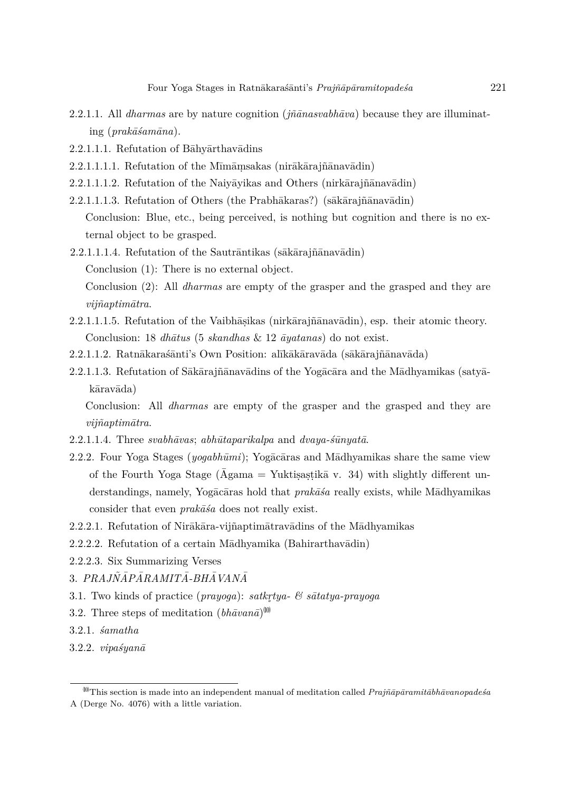- 2.2.1.1. All *dharmas* are by nature cognition  $(i\tilde{n}\bar{a}nasyabh\bar{a}va)$  because they are illuminating (*prakāśamāna*).
- 2.2.1.1.1. Refutation of Bahyarthavadins
- $2.2.1.1.1.1$ . Refutation of the Mīmāṃsakas (nirākārajñānavādin)
- $2.2.1.1.1.2.$  Refutation of the Naivāvikas and Others (nirkārajñānavādin)
- 2.2.1.1.1.3. Refutation of Others (the Prabhākaras?) (sākārajñānavādin) Conclusion: Blue, etc., being perceived, is nothing but cognition and there is no external object to be grasped.
- $2.2.1.1.1.4.$  Refutation of the Sautr $\overline{a}$ ntikas (s $\overline{a}$ k $\overline{a}$ rajñ $\overline{a}$ nav $\overline{a}$ din)
	- Conclusion (1): There is no external object.

Conclusion (2): All *dharmas* are empty of the grasper and the grasped and they are *vij˜naptim¯atra*.

- 2.2.1.1.1.5. Refutation of the Vaibhāṣikas (nirkārajñānavādin), esp. their atomic theory. Conclusion: 18 *dhātus* (5 *skandhas* & 12 *āyatanas*) do not exist.
- 2.2.1.1.2. Ratnākarasanti's Own Position: alīkākāravāda (sākārajñānavāda)
- $2.2.1.1.3.$  Refutation of Sākārajñānavādins of the Yogācāra and the Mādhyamikas (satyākāravāda)

Conclusion: All *dharmas* are empty of the grasper and the grasped and they are *vij˜naptim¯atra*.

- $2.2.1.1.4.$  Three *svabhāvas*; *abhūtaparikalpa* and *dvaya-s* $\bar{u}$ *nyatā*.
- 2.2.2. Four Yoga Stages ( $yogabh\bar{u}mi$ ); Yogacaras and Madhyamikas share the same view of the Fourth Yoga Stage ( $\bar{\text{A}}$ gama = Yuktisastikā v. 34) with slightly different understandings, namely, Yogacaras hold that *prakãsa* really exists, while Madhyamikas consider that even  $prak\bar{a}\acute{s}a$  does not really exist.
- 2.2.2.1. Refutation of Nirākāra-vijñaptimātravādins of the Mādhyamikas
- $2.2.2.2$ . Refutation of a certain M $\bar{a}$ dhyamika (Bahirarthav $\bar{a}$ din)
- 2.2.2.3. Six Summarizing Verses
- 3. *PRAJN˜AP¯ ARAMIT ¯ A-BH ¯ AVAN ¯ A¯*
- 3.1. Two kinds of practice (*prayoga*): *satkr tya- & s¯atatya-prayoga ˚*
- 3.2. Three steps of meditation  $(hh\bar{a}van\bar{a})^{(0)}$
- 3.2.1. *´samatha*
- 3.2.2. *vipa´syan¯a*

<sup>&</sup>lt;sup>00</sup>This section is made into an independent manual of meditation called *Prajñāpāramitābhāvanopadeśa* A (Derge No. 4076) with a little variation.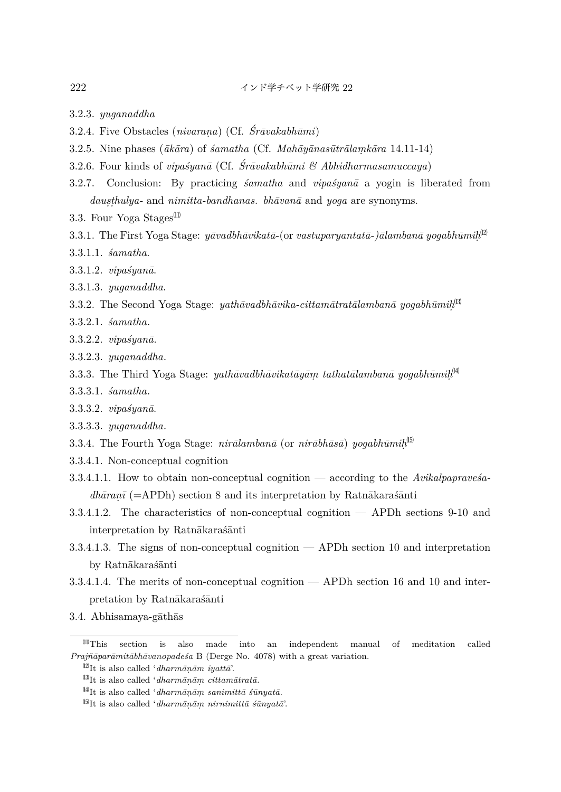- 3.2.3. *yuganaddha*
- 3.2.4. Five Obstacles *(nivarana) (Cf.*  $\acute{S}r\bar{a}vakabh\bar{u}mi$ *)*
- 3.2.5. Nine phases  $(\bar{a}k\bar{a}ra)$  of  $\acute{a}amatha$  (Cf. *Mahāyānasūtrālamkāra* 14.11-14)
- 3.2.6. Four kinds of *vipas*<sup>*yanā*</sup> (Cf.  $\acute{S}r\bar{a}vaka bh\bar{u}mi \& Abhidharmasamuccaya$ )
- 3.2.7. Conclusion: By practicing *´samatha* and *vipa´syan¯a* a yogin is liberated from *dausthulya-* and *nimitta-bandhanas. bhāvanā* and *yoga* are synonyms.
- 3.3. Four Yoga Stages<sup>(11)</sup>
- $3.3.1.$  The First Yoga Stage:  $y\bar{a}vadbh\bar{a}vikat\bar{a}$ -(or  $vastuparyantat\bar{a}$ -) $\bar{a}lamban\bar{a}~yogabh\bar{u}mi\bar{h}^{02}$
- 3.3.1.1. *´samatha*.
- 3.3.1.2. *vipa´syan¯a*.
- 3.3.1.3. *yuganaddha*.
- $3.3.2$ . The Second Yoga Stage:  $yath\bar{a}vadbh\bar{a}vika-cittam\bar{a}trat\bar{a}lamban\bar{a}$   $yogabh\bar{u}mi\hbar^{[3]}$
- 3.3.2.1. *´samatha.*
- 3.3.2.2. *vipaśyanā*.
- 3.3.2.3. *yuganaddha.*
- $3.3.3$ . The Third Yoga Stage:  $\mathit{yathāvadbhāvikatāyām}\ \mathit{tathatālambanā}\ \mathit{yogabhūmi}\hbar^{\text{M}}$
- 3.3.3.1. *´samatha.*
- 3.3.3.2. *vipa´syan¯a*.
- 3.3.3.3. *yuganaddha.*
- 3.3.4. The Fourth Yoga Stage:  $nirālambanā$  (or  $nirābhāsā$ )  $yogabhūmih<sup>15</sup>$
- 3.3.4.1. Non-conceptual cognition
- 3.3.4.1.1. How to obtain non-conceptual cognition according to the *Avikalpaprave'sa* $dh\bar{a}ran\bar{i}$  (=APDh) section 8 and its interpretation by Ratn $\bar{a}$ karas´anti
- 3.3.4.1.2. The characteristics of non-conceptual cognition APDh sections 9-10 and interpretation by Ratnākaraśānti
- 3.3.4.1.3. The signs of non-conceptual cognition APDh section 10 and interpretation by Ratnākaraśānti
- 3.3.4.1.4. The merits of non-conceptual cognition APDh section 16 and 10 and interpretation by Ratnākaraśānti
- 3.4. Abhisamaya-gāthās

<sup>⑾</sup>This section is also made into an independent manual of meditation called *Prajñāparāmitābhāvanopadeśa* B (Derge No. 4078) with a great variation.

 $^{(12)}$ It is also called '*dharmānām iyattā*'.

<sup>&</sup>lt;sup>(13)</sup>It is also called '*dharmānām cittamātratā*.

<sup>&</sup>lt;sup>[4]</sup>It is also called '*dharmānām sanimittā śūnyatā*.

 $^{(5)}$ It is also called '*dharmānām nirnimittā śūnyatā*'.